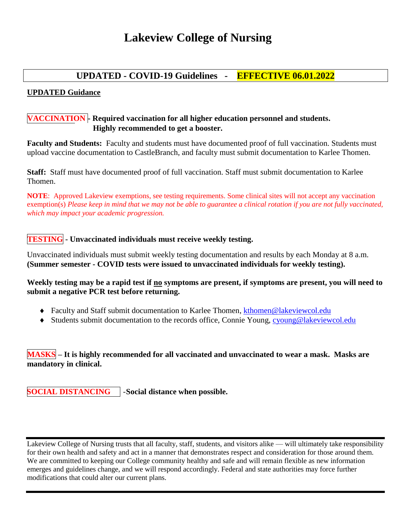# **Lakeview College of Nursing**

# **UPDATED - COVID-19 Guidelines - EFFECTIVE 06.01.2022**

#### **UPDATED Guidance**

## **VACCINATION - Required vaccination for all higher education personnel and students. Highly recommended to get a booster.**

**Faculty and Students:** Faculty and students must have documented proof of full vaccination. Students must upload vaccine documentation to CastleBranch, and faculty must submit documentation to Karlee Thomen.

**Staff:** Staff must have documented proof of full vaccination. Staff must submit documentation to Karlee Thomen.

**NOTE**: Approved Lakeview exemptions, see testing requirements. Some clinical sites will not accept any vaccination exemption(s) *Please keep in mind that we may not be able to guarantee a clinical rotation if you are not fully vaccinated, which may impact your academic progression.*

## **TESTING - Unvaccinated individuals must receive weekly testing.**

Unvaccinated individuals must submit weekly testing documentation and results by each Monday at 8 a.m. **(Summer semester - COVID tests were issued to unvaccinated individuals for weekly testing).**

**Weekly testing may be a rapid test if no symptoms are present, if symptoms are present, you will need to submit a negative PCR test before returning.**

- Faculty and Staff submit documentation to Karlee Thomen, [kthomen@lakeviewcol.edu](mailto:kthomen@lakeviewcol.edu)
- Students submit documentation to the records office, Connie Young, [cyoung@lakeviewcol.edu](mailto:cyoung@lakeviewcol.edu)

# **MASKS – It is highly recommended for all vaccinated and unvaccinated to wear a mask. Masks are mandatory in clinical.**

**SOCIAL DISTANCING** -**Social distance when possible.** 

Lakeview College of Nursing trusts that all faculty, staff, students, and visitors alike — will ultimately take responsibility for their own health and safety and act in a manner that demonstrates respect and consideration for those around them. We are committed to keeping our College community healthy and safe and will remain flexible as new information emerges and guidelines change, and we will respond accordingly. Federal and state authorities may force further modifications that could alter our current plans.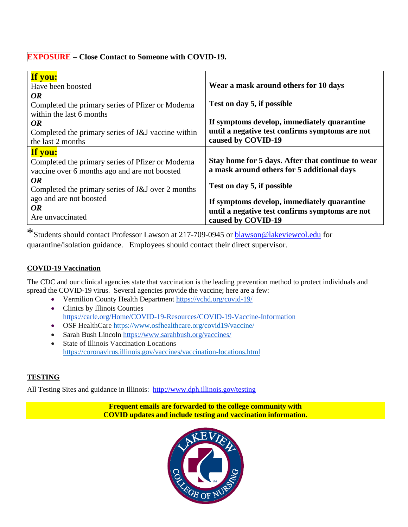# **EXPOSURE – Close Contact to Someone with COVID-19.**

| If you:<br>Have been boosted<br><i>OR</i>                                                                     | Wear a mask around others for 10 days                                                                                |
|---------------------------------------------------------------------------------------------------------------|----------------------------------------------------------------------------------------------------------------------|
| Completed the primary series of Pfizer or Moderna<br>within the last 6 months                                 | Test on day 5, if possible                                                                                           |
| <i>OR</i>                                                                                                     | If symptoms develop, immediately quarantine                                                                          |
| Completed the primary series of J&J vaccine within                                                            | until a negative test confirms symptoms are not                                                                      |
| the last 2 months                                                                                             | caused by COVID-19                                                                                                   |
| If you:<br>Completed the primary series of Pfizer or Moderna<br>vaccine over 6 months ago and are not boosted | Stay home for 5 days. After that continue to wear<br>a mask around others for 5 additional days                      |
| <i>OR</i><br>Completed the primary series of J&J over 2 months                                                | Test on day 5, if possible                                                                                           |
| ago and are not boosted<br><b>OR</b><br>Are unvaccinated                                                      | If symptoms develop, immediately quarantine<br>until a negative test confirms symptoms are not<br>caused by COVID-19 |

\*Students should contact Professor Lawson at 217-709-0945 or [blawson@lakeviewcol.edu](mailto:blawson@lakeviewcol.edu) for quarantine/isolation guidance. Employees should contact their direct supervisor.

## **COVID-19 Vaccination**

The CDC and our clinical agencies state that vaccination is the leading prevention method to protect individuals and spread the COVID-19 virus. Several agencies provide the vaccine; here are a few:

- Vermilion County Health Department <https://vchd.org/covid-19/>
- Clinics by Illinois Counties https://carle.org/Home/COVID-19-Resources/COVID-19-Vaccine-Information
- OSF HealthCare <https://www.osfhealthcare.org/covid19/vaccine/>
- Sarah Bush Lincoln <https://www.sarahbush.org/vaccines/>
- State of Illinois Vaccination Locations <https://coronavirus.illinois.gov/vaccines/vaccination-locations.html>

## **TESTING**

All Testing Sites and guidance in Illinois: http://www.dph.illinois.gov/testing

**Frequent emails are forwarded to the college community with COVID updates and include testing and vaccination information.**